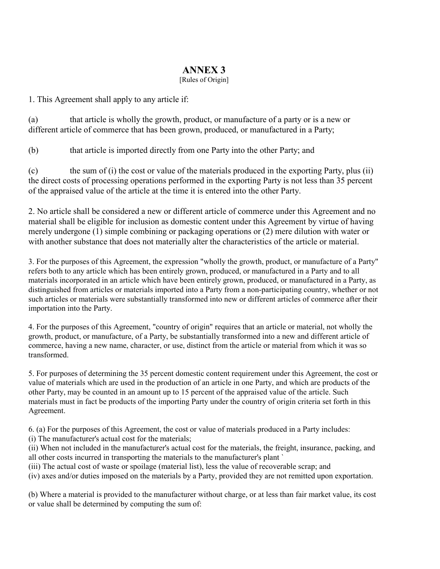## ANNEX 3

[Rules of Origin]

1. This Agreement shall apply to any article if:

(a) that article is wholly the growth, product, or manufacture of a party or is a new or different article of commerce that has been grown, produced, or manufactured in a Party;

(b) that article is imported directly from one Party into the other Party; and

(c) the sum of (i) the cost or value of the materials produced in the exporting Party, plus (ii) the direct costs of processing operations performed in the exporting Party is not less than 35 percent of the appraised value of the article at the time it is entered into the other Party.

2. No article shall be considered a new or different article of commerce under this Agreement and no material shall be eligible for inclusion as domestic content under this Agreement by virtue of having merely undergone (1) simple combining or packaging operations or (2) mere dilution with water or with another substance that does not materially alter the characteristics of the article or material.

3. For the purposes of this Agreement, the expression "wholly the growth, product, or manufacture of a Party" refers both to any article which has been entirely grown, produced, or manufactured in a Party and to all materials incorporated in an article which have been entirely grown, produced, or manufactured in a Party, as distinguished from articles or materials imported into a Party from a non-participating country, whether or not such articles or materials were substantially transformed into new or different articles of commerce after their importation into the Party.

4. For the purposes of this Agreement, "country of origin" requires that an article or material, not wholly the growth, product, or manufacture, of a Party, be substantially transformed into a new and different article of commerce, having a new name, character, or use, distinct from the article or material from which it was so transformed.

5. For purposes of determining the 35 percent domestic content requirement under this Agreement, the cost or value of materials which are used in the production of an article in one Party, and which are products of the other Party, may be counted in an amount up to 15 percent of the appraised value of the article. Such materials must in fact be products of the importing Party under the country of origin criteria set forth in this Agreement.

6. (a) For the purposes of this Agreement, the cost or value of materials produced in a Party includes: (i) The manufacturer's actual cost for the materials;

(ii) When not included in the manufacturer's actual cost for the materials, the freight, insurance, packing, and all other costs incurred in transporting the materials to the manufacturer's plant `

(iii) The actual cost of waste or spoilage (material list), less the value of recoverable scrap; and

(iv) axes and/or duties imposed on the materials by a Party, provided they are not remitted upon exportation.

(b) Where a material is provided to the manufacturer without charge, or at less than fair market value, its cost or value shall be determined by computing the sum of: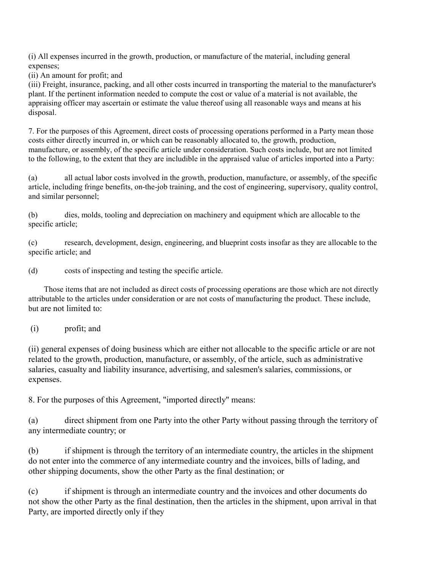(i) All expenses incurred in the growth, production, or manufacture of the material, including general expenses;

(ii) An amount for profit; and

(iii) Freight, insurance, packing, and all other costs incurred in transporting the material to the manufacturer's plant. If the pertinent information needed to compute the cost or value of a material is not available, the appraising officer may ascertain or estimate the value thereof using all reasonable ways and means at his disposal.

7. For the purposes of this Agreement, direct costs of processing operations performed in a Party mean those costs either directly incurred in, or which can be reasonably allocated to, the growth, production, manufacture, or assembly, of the specific article under consideration. Such costs include, but are not limited to the following, to the extent that they are includible in the appraised value of articles imported into a Party:

(a) all actual labor costs involved in the growth, production, manufacture, or assembly, of the specific article, including fringe benefits, on-the-job training, and the cost of engineering, supervisory, quality control, and similar personnel;

(b) dies, molds, tooling and depreciation on machinery and equipment which are allocable to the specific article;

(c) research, development, design, engineering, and blueprint costs insofar as they are allocable to the specific article; and

(d) costs of inspecting and testing the specific article.

 Those items that are not included as direct costs of processing operations are those which are not directly attributable to the articles under consideration or are not costs of manufacturing the product. These include, but are not limited to:

(i) profit; and

(ii) general expenses of doing business which are either not allocable to the specific article or are not related to the growth, production, manufacture, or assembly, of the article, such as administrative salaries, casualty and liability insurance, advertising, and salesmen's salaries, commissions, or expenses.

8. For the purposes of this Agreement, "imported directly" means:

(a) direct shipment from one Party into the other Party without passing through the territory of any intermediate country; or

(b) if shipment is through the territory of an intermediate country, the articles in the shipment do not enter into the commerce of any intermediate country and the invoices, bills of lading, and other shipping documents, show the other Party as the final destination; or

(c) if shipment is through an intermediate country and the invoices and other documents do not show the other Party as the final destination, then the articles in the shipment, upon arrival in that Party, are imported directly only if they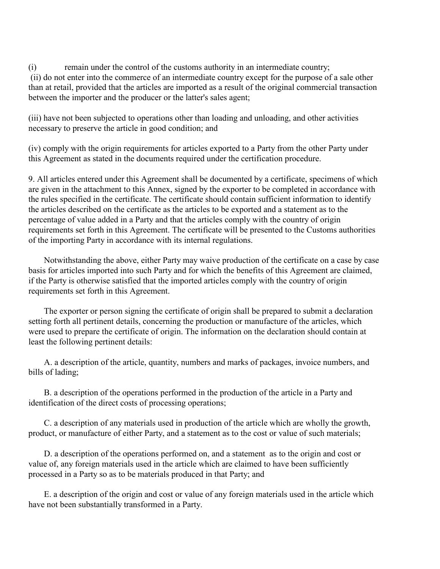(i) remain under the control of the customs authority in an intermediate country; (ii) do not enter into the commerce of an intermediate country except for the purpose of a sale other than at retail, provided that the articles are imported as a result of the original commercial transaction between the importer and the producer or the latter's sales agent;

(iii) have not been subjected to operations other than loading and unloading, and other activities necessary to preserve the article in good condition; and

(iv) comply with the origin requirements for articles exported to a Party from the other Party under this Agreement as stated in the documents required under the certification procedure.

9. All articles entered under this Agreement shall be documented by a certificate, specimens of which are given in the attachment to this Annex, signed by the exporter to be completed in accordance with the rules specified in the certificate. The certificate should contain sufficient information to identify the articles described on the certificate as the articles to be exported and a statement as to the percentage of value added in a Party and that the articles comply with the country of origin requirements set forth in this Agreement. The certificate will be presented to the Customs authorities of the importing Party in accordance with its internal regulations.

 Notwithstanding the above, either Party may waive production of the certificate on a case by case basis for articles imported into such Party and for which the benefits of this Agreement are claimed, if the Party is otherwise satisfied that the imported articles comply with the country of origin requirements set forth in this Agreement.

 The exporter or person signing the certificate of origin shall be prepared to submit a declaration setting forth all pertinent details, concerning the production or manufacture of the articles, which were used to prepare the certificate of origin. The information on the declaration should contain at least the following pertinent details:

 A. a description of the article, quantity, numbers and marks of packages, invoice numbers, and bills of lading;

 B. a description of the operations performed in the production of the article in a Party and identification of the direct costs of processing operations;

 C. a description of any materials used in production of the article which are wholly the growth, product, or manufacture of either Party, and a statement as to the cost or value of such materials;

 D. a description of the operations performed on, and a statement as to the origin and cost or value of, any foreign materials used in the article which are claimed to have been sufficiently processed in a Party so as to be materials produced in that Party; and

 E. a description of the origin and cost or value of any foreign materials used in the article which have not been substantially transformed in a Party.